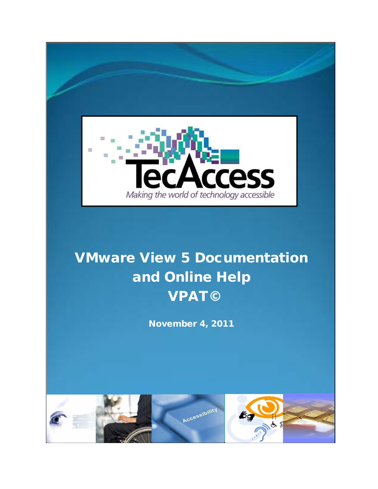

# VMware View 5 Documentation and Online Help VPAT©

November 4, 2011

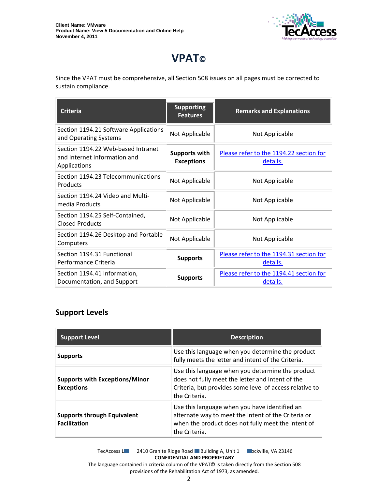

## **VPAT©**

Since the VPAT must be comprehensive, all Section 508 issues on all pages must be corrected to sustain compliance.

| <b>Criteria</b>                                                                    | <b>Supporting</b><br><b>Features</b>      | <b>Remarks and Explanations</b>                     |
|------------------------------------------------------------------------------------|-------------------------------------------|-----------------------------------------------------|
| Section 1194.21 Software Applications<br>and Operating Systems                     | Not Applicable                            | Not Applicable                                      |
| Section 1194.22 Web-based Intranet<br>and Internet Information and<br>Applications | <b>Supports with</b><br><b>Exceptions</b> | Please refer to the 1194.22 section for<br>details. |
| Section 1194.23 Telecommunications<br>Products                                     | Not Applicable                            | Not Applicable                                      |
| Section 1194.24 Video and Multi-<br>media Products                                 | Not Applicable                            | Not Applicable                                      |
| Section 1194.25 Self-Contained,<br>Closed Products                                 | Not Applicable                            | Not Applicable                                      |
| Section 1194.26 Desktop and Portable<br>Computers                                  | Not Applicable                            | Not Applicable                                      |
| Section 1194.31 Functional<br>Performance Criteria                                 | <b>Supports</b>                           | Please refer to the 1194.31 section for<br>details. |
| Section 1194.41 Information,<br>Documentation, and Support                         | <b>Supports</b>                           | Please refer to the 1194.41 section for<br>details. |

#### **Support Levels**

| <b>Support Level</b>                                       | <b>Description</b>                                                                                                                                                               |
|------------------------------------------------------------|----------------------------------------------------------------------------------------------------------------------------------------------------------------------------------|
| <b>Supports</b>                                            | Use this language when you determine the product<br>fully meets the letter and intent of the Criteria.                                                                           |
| <b>Supports with Exceptions/Minor</b><br><b>Exceptions</b> | Use this language when you determine the product<br>does not fully meet the letter and intent of the<br>Criteria, but provides some level of access relative to<br>the Criteria. |
| <b>Supports through Equivalent</b><br><b>Facilitation</b>  | Use this language when you have identified an<br>alternate way to meet the intent of the Criteria or<br>when the product does not fully meet the intent of<br>the Criteria.      |

TecAccess LLC 2410 Granite Ridge Road Building A, Unit 1 Dickville, VA 23146 **CONFIDENTIAL AND PROPRIETARY** The language contained in criteria column of the VPAT© is taken directly from the Section 508

provisions of the Rehabilitation Act of 1973, as amended.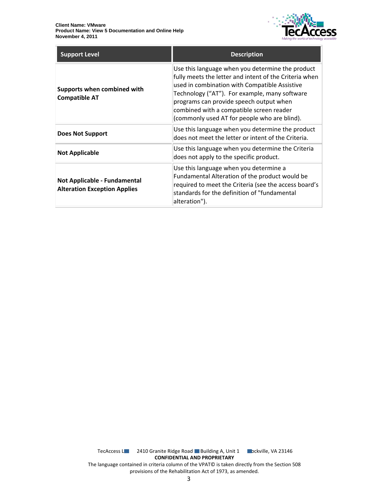

| <b>Support Level</b>                                                | <b>Description</b>                                                                                                                                                                                                                                                                                                                                  |
|---------------------------------------------------------------------|-----------------------------------------------------------------------------------------------------------------------------------------------------------------------------------------------------------------------------------------------------------------------------------------------------------------------------------------------------|
| Supports when combined with<br><b>Compatible AT</b>                 | Use this language when you determine the product<br>fully meets the letter and intent of the Criteria when<br>used in combination with Compatible Assistive<br>Technology ("AT"). For example, many software<br>programs can provide speech output when<br>combined with a compatible screen reader<br>(commonly used AT for people who are blind). |
| <b>Does Not Support</b>                                             | Use this language when you determine the product<br>does not meet the letter or intent of the Criteria.                                                                                                                                                                                                                                             |
| <b>Not Applicable</b>                                               | Use this language when you determine the Criteria<br>does not apply to the specific product.                                                                                                                                                                                                                                                        |
| Not Applicable - Fundamental<br><b>Alteration Exception Applies</b> | Use this language when you determine a<br>Fundamental Alteration of the product would be<br>required to meet the Criteria (see the access board's<br>standards for the definition of "fundamental<br>alteration").                                                                                                                                  |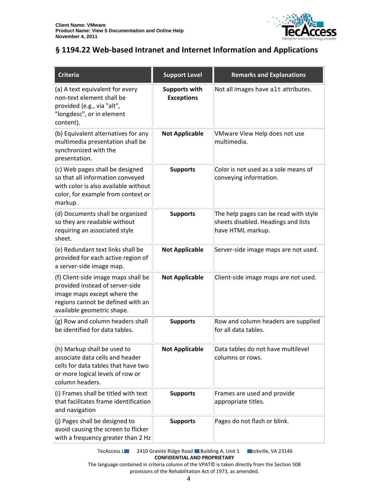

### <span id="page-3-0"></span>**§ 1194.22 Web-based Intranet and Internet Information and Applications**

| <b>Criteria</b>                                                                                                                                                          | <b>Support Level</b>                      | <b>Remarks and Explanations</b>                                                                   |
|--------------------------------------------------------------------------------------------------------------------------------------------------------------------------|-------------------------------------------|---------------------------------------------------------------------------------------------------|
| (a) A text equivalent for every<br>non-text element shall be<br>provided (e.g., via "alt",<br>"longdesc", or in element<br>content).                                     | <b>Supports with</b><br><b>Exceptions</b> | Not all images have alt attributes.                                                               |
| (b) Equivalent alternatives for any<br>multimedia presentation shall be<br>synchronized with the<br>presentation.                                                        | <b>Not Applicable</b>                     | VMware View Help does not use<br>multimedia.                                                      |
| (c) Web pages shall be designed<br>so that all information conveyed<br>with color is also available without<br>color, for example from context or<br>markup.             | <b>Supports</b>                           | Color is not used as a sole means of<br>conveying information.                                    |
| (d) Documents shall be organized<br>so they are readable without<br>requiring an associated style<br>sheet.                                                              | <b>Supports</b>                           | The help pages can be read with style<br>sheets disabled. Headings and lists<br>have HTML markup. |
| (e) Redundant text links shall be<br>provided for each active region of<br>a server-side image map.                                                                      | <b>Not Applicable</b>                     | Server-side image maps are not used.                                                              |
| (f) Client-side image maps shall be<br>provided instead of server-side<br>image maps except where the<br>regions cannot be defined with an<br>available geometric shape. | <b>Not Applicable</b>                     | Client-side image maps are not used.                                                              |
| (g) Row and column headers shall<br>be identified for data tables.                                                                                                       | <b>Supports</b>                           | Row and column headers are supplied<br>for all data tables.                                       |
| (h) Markup shall be used to<br>associate data cells and header<br>cells for data tables that have two<br>or more logical levels of row or<br>column headers.             | <b>Not Applicable</b>                     | Data tables do not have multilevel<br>columns or rows.                                            |
| (i) Frames shall be titled with text<br>that facilitates frame identification<br>and navigation                                                                          | <b>Supports</b>                           | Frames are used and provide<br>appropriate titles.                                                |
| (j) Pages shall be designed to<br>avoid causing the screen to flicker<br>with a frequency greater than 2 Hz                                                              | <b>Supports</b>                           | Pages do not flash or blink.                                                                      |

TecAccess LLC 2410 Granite Ridge Road Building A, Unit 1 Dickville, VA 23146 **CONFIDENTIAL AND PROPRIETARY**

The language contained in criteria column of the VPAT© is taken directly from the Section 508 provisions of the Rehabilitation Act of 1973, as amended.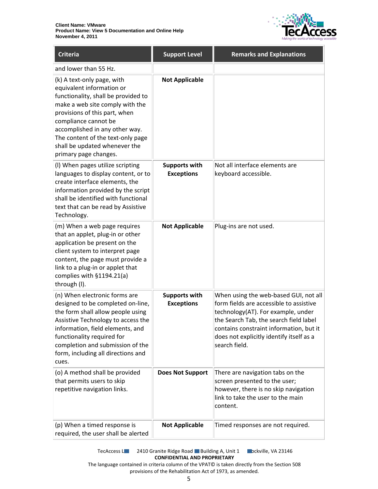

| <b>Criteria</b>                                                                                                                                                                                                                                                                                                             | <b>Support Level</b>                      | <b>Remarks and Explanations</b>                                                                                                                                                                                                                                          |
|-----------------------------------------------------------------------------------------------------------------------------------------------------------------------------------------------------------------------------------------------------------------------------------------------------------------------------|-------------------------------------------|--------------------------------------------------------------------------------------------------------------------------------------------------------------------------------------------------------------------------------------------------------------------------|
| and lower than 55 Hz.                                                                                                                                                                                                                                                                                                       |                                           |                                                                                                                                                                                                                                                                          |
| (k) A text-only page, with<br>equivalent information or<br>functionality, shall be provided to<br>make a web site comply with the<br>provisions of this part, when<br>compliance cannot be<br>accomplished in any other way.<br>The content of the text-only page<br>shall be updated whenever the<br>primary page changes. | <b>Not Applicable</b>                     |                                                                                                                                                                                                                                                                          |
| (I) When pages utilize scripting<br>languages to display content, or to<br>create interface elements, the<br>information provided by the script<br>shall be identified with functional<br>text that can be read by Assistive<br>Technology.                                                                                 | <b>Supports with</b><br><b>Exceptions</b> | Not all interface elements are<br>keyboard accessible.                                                                                                                                                                                                                   |
| (m) When a web page requires<br>that an applet, plug-in or other<br>application be present on the<br>client system to interpret page<br>content, the page must provide a<br>link to a plug-in or applet that<br>complies with §1194.21(a)<br>through (I).                                                                   | <b>Not Applicable</b>                     | Plug-ins are not used.                                                                                                                                                                                                                                                   |
| (n) When electronic forms are<br>designed to be completed on-line,<br>the form shall allow people using<br>Assistive Technology to access the<br>information, field elements, and<br>functionality required for<br>completion and submission of the<br>form, including all directions and<br>cues.                          | <b>Supports with</b><br><b>Exceptions</b> | When using the web-based GUI, not all<br>form fields are accessible to assistive<br>technology(AT). For example, under<br>the Search Tab, the search field label<br>contains constraint information, but it<br>does not explicitly identify itself as a<br>search field. |
| (o) A method shall be provided<br>that permits users to skip<br>repetitive navigation links.                                                                                                                                                                                                                                | <b>Does Not Support</b>                   | There are navigation tabs on the<br>screen presented to the user;<br>however, there is no skip navigation<br>link to take the user to the main<br>content.                                                                                                               |
| (p) When a timed response is<br>required, the user shall be alerted                                                                                                                                                                                                                                                         | <b>Not Applicable</b>                     | Timed responses are not required.                                                                                                                                                                                                                                        |

TecAccess L**LC** 2410 Granite Ridge Road Building A, Unit 1 **Rockville, VA 23146 CONFIDENTIAL AND PROPRIETARY**

The language contained in criteria column of the VPAT© is taken directly from the Section 508 provisions of the Rehabilitation Act of 1973, as amended.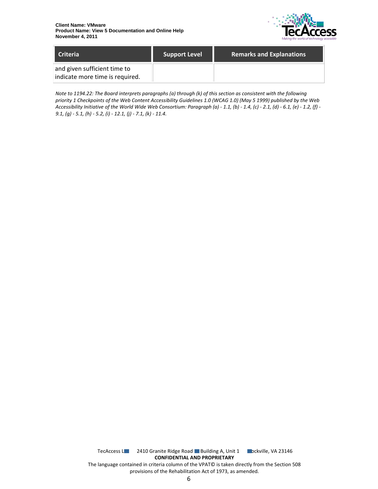

| <b>Criteria</b>                                                 | Support Level | <b>Remarks and Explanations</b> |
|-----------------------------------------------------------------|---------------|---------------------------------|
| and given sufficient time to<br>indicate more time is required. |               |                                 |

*Note to 1194.22: The Board interprets paragraphs (a) through (k) of this section as consistent with the following priority 1 Checkpoints of the Web Content Accessibility Guidelines 1.0 (WCAG 1.0) (May 5 1999) published by the Web Accessibility Initiative of the World Wide Web Consortium: Paragraph (a) - 1.1, (b) - 1.4, (c) - 2.1, (d) - 6.1, (e) - 1.2, (f) - 9.1, (g) - 5.1, (h) - 5.2, (i) - 12.1, (j) - 7.1, (k) - 11.4.*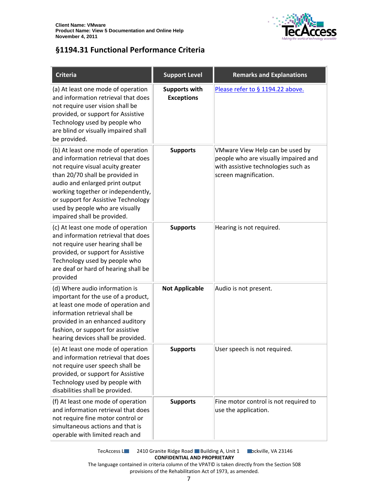

#### <span id="page-6-0"></span>**§1194.31 Functional Performance Criteria**

| <b>Criteria</b>                                                                                                                                                                                                                                                                                                                     | <b>Support Level</b>                      | <b>Remarks and Explanations</b>                                                                                                         |
|-------------------------------------------------------------------------------------------------------------------------------------------------------------------------------------------------------------------------------------------------------------------------------------------------------------------------------------|-------------------------------------------|-----------------------------------------------------------------------------------------------------------------------------------------|
| (a) At least one mode of operation<br>and information retrieval that does<br>not require user vision shall be<br>provided, or support for Assistive<br>Technology used by people who<br>are blind or visually impaired shall<br>be provided.                                                                                        | <b>Supports with</b><br><b>Exceptions</b> | Please refer to § 1194.22 above.                                                                                                        |
| (b) At least one mode of operation<br>and information retrieval that does<br>not require visual acuity greater<br>than 20/70 shall be provided in<br>audio and enlarged print output<br>working together or independently,<br>or support for Assistive Technology<br>used by people who are visually<br>impaired shall be provided. | <b>Supports</b>                           | VMware View Help can be used by<br>people who are visually impaired and<br>with assistive technologies such as<br>screen magnification. |
| (c) At least one mode of operation<br>and information retrieval that does<br>not require user hearing shall be<br>provided, or support for Assistive<br>Technology used by people who<br>are deaf or hard of hearing shall be<br>provided                                                                                           | <b>Supports</b>                           | Hearing is not required.                                                                                                                |
| (d) Where audio information is<br>important for the use of a product,<br>at least one mode of operation and<br>information retrieval shall be<br>provided in an enhanced auditory<br>fashion, or support for assistive<br>hearing devices shall be provided.                                                                        | <b>Not Applicable</b>                     | Audio is not present.                                                                                                                   |
| (e) At least one mode of operation<br>and information retrieval that does<br>not require user speech shall be<br>provided, or support for Assistive<br>Technology used by people with<br>disabilities shall be provided.                                                                                                            | <b>Supports</b>                           | User speech is not required.                                                                                                            |
| (f) At least one mode of operation<br>and information retrieval that does<br>not require fine motor control or<br>simultaneous actions and that is<br>operable with limited reach and                                                                                                                                               | <b>Supports</b>                           | Fine motor control is not required to<br>use the application.                                                                           |

TecAccess L**LC** 2410 Granite Ridge Road Building A, Unit 1 **Rockville, VA 23146 CONFIDENTIAL AND PROPRIETARY**

The language contained in criteria column of the VPAT© is taken directly from the Section 508 provisions of the Rehabilitation Act of 1973, as amended.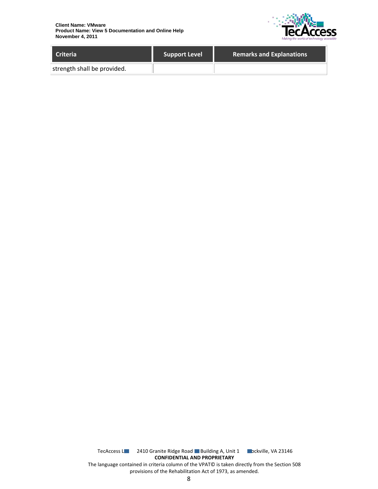

| <b>Criteria</b>             | <b>Support Level</b> | <b>Remarks and Explanations</b> |
|-----------------------------|----------------------|---------------------------------|
| strength shall be provided. |                      |                                 |